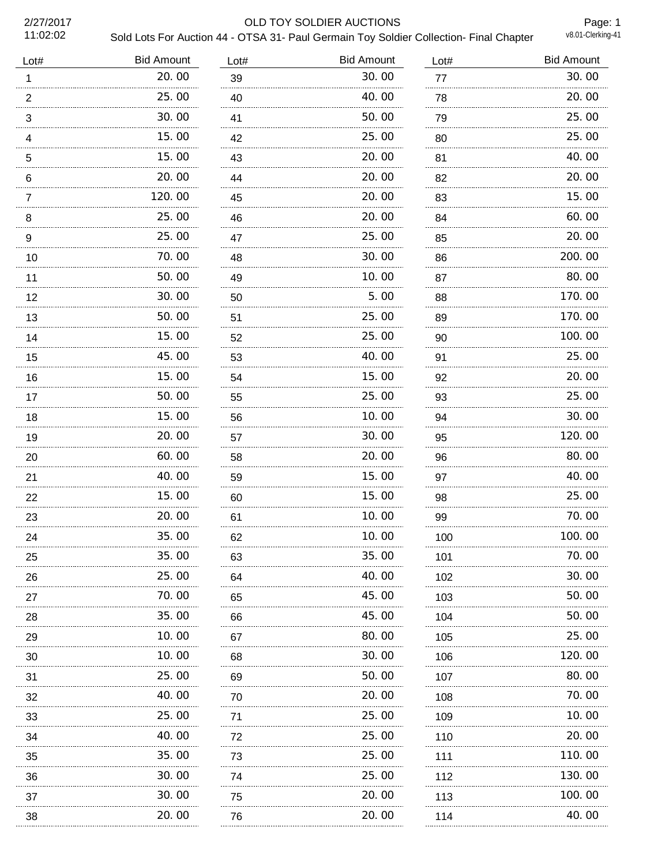11:02:02

## 2/27/2017 OLD TOY SOLDIER AUCTIONS

Page: 1

| Sold Lots For Auction 44 - OTSA 31- Paul Germain Toy Soldier Collection- Final Chapter | v8.01-Clerking-41 |
|----------------------------------------------------------------------------------------|-------------------|
|----------------------------------------------------------------------------------------|-------------------|

| Lot#            | <b>Bid Amount</b> | Lot#    | <b>Bid Amount</b> | Lot#    | <b>Bid Amount</b> |
|-----------------|-------------------|---------|-------------------|---------|-------------------|
| 1               | 20.00             | 39      | 30.00             | 77      | 30.00             |
| $\overline{2}$  | 25.00             | 40      | 40.00             | 78      | 20.00             |
| $\sqrt{3}$<br>. | 30.00             | 41      | 50.00             | 79<br>. | 25.00             |
| $\overline{4}$  | 15.00             | 42      | 25.00             | 80<br>. | 25.00             |
| 5               | 15.00             | 43      | 20.00             | 81      | 40.00             |
| $6\phantom{1}$  | 20.00             | 44      | 20.00             | 82      | 20.00             |
| $\overline{7}$  | 120.00            | 45      | 20.00             | 83      | 15.00             |
| 8               | 25.00             | 46      | 20.00             | 84      | 60.00             |
| 9<br>.          | 25.00             | 47<br>. | 25.00             | 85<br>. | 20.00             |
| 10              | 70.00             | 48      | 30.00             | 86      | 200.00            |
| 11              | 50.00             | 49      | 10.00             | 87      | 80.00             |
| 12              | 30.00             | 50      | 5.00              | 88      | 170.00            |
| 13              | 50.00             | 51      | 25.00             | 89      | 170.00            |
| 14              | 15.00             | 52      | 25.00             | 90      | 100.00            |
| 15              | 45.00<br>.        | 53      | 40.00             | 91      | 25.00             |
| 16              | 15.00             | 54      | 15.00             | 92      | 20.00             |
| 17              | 50.00<br>.        | 55      | 25.00             | 93      | 25.00             |
| 18              | 15.00<br>.        | 56      | 10.00             | 94      | 30.00             |
| 19              | 20.00<br>.        | 57      | 30.00             | 95      | 120.00            |
| 20              | 60.00             | 58      | 20.00             | 96      | 80.00             |
| 21              | 40.00             | 59      | 15.00             | 97      | 40.00             |
| 22              | 15.00             | 60      | 15.00             | 98      | 25.00             |
| 23              | 20.00             | 61      | 10.00             | 99      | 70.00             |
| 24              | 35.00             | 62      | 10.00             | 100     | 100.00            |
| 25              | 35.00             | 63      | 35.00             | 101     | 70.00             |
| 26              | 25.00             | 64      | 40.00             | 102     | 30.00             |
| 27              | 70.00             | 65      | 45.00             | 103     | 50.00             |
| 28              | 35.00             | 66      | 45.00             | 104     | 50.00             |
| 29              | 10.00             | 67      | 80.00             | 105     | 25.00             |
| 30              | 10.00             | 68      | 30.00             | 106     | 120.00            |
| 31              | 25.00             | 69      | 50.00             | 107     | 80.00             |
| 32              | 40.00             | 70      | 20.00             | 108     | 70.00             |
| 33              | 25.00             | 71      | 25.00             | 109     | 10.00             |
| 34              | 40.00             | 72      | 25.00             | 110     | 20.00             |
| 35              | 35.00             | 73      | 25.00             | 111     | 110.00            |
| 36              | 30.00             | 74      | 25.00             | 112     | 130.00            |
| 37              | 30.00             | 75      | 20.00             | 113     | 100.00            |
| 38              | 20.00             | 76      | 20.00             | 114     | 40.00             |
|                 |                   |         |                   |         |                   |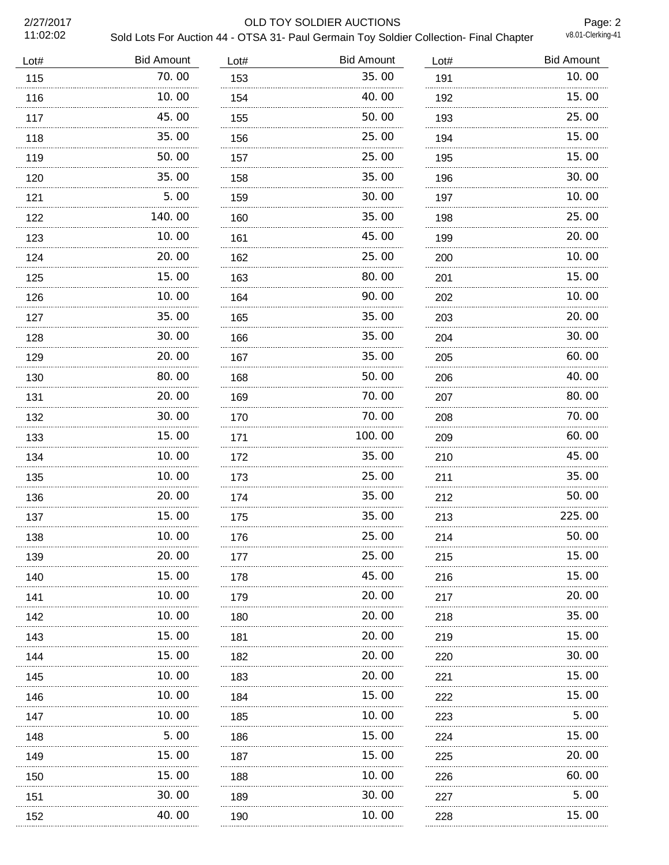2/27/2017<br>11:02:02

## OLD TOY SOLDIER AUCTIONS

Page: 2

| Sold Lots For Auction 44 - OTSA 31- Paul Germain Toy Soldier Collection- Final Chapter | v8.01-Clerking-41 |
|----------------------------------------------------------------------------------------|-------------------|
|                                                                                        |                   |

| Lot# | <b>Bid Amount</b> | Lot# | <b>Bid Amount</b> | Lot# | <b>Bid Amount</b> |
|------|-------------------|------|-------------------|------|-------------------|
| 115  | 70.00             | 153  | 35.00             | 191  | 10.00             |
| 116  | 10.00             | 154  | 40.00             | 192  | 15.00             |
| 117  | 45.00             | 155  | 50.00             | 193  | 25.00             |
| 118  | 35.00             | 156  | 25.00             | 194  | 15.00             |
| 119  | 50.00             | 157  | 25.00             | 195  | 15.00             |
| 120  | 35.00             | 158  | 35.00             | 196  | 30.00             |
| 121  | 5.00              | 159  | 30.00             | 197  | 10.00             |
| 122  | 140.00            | 160  | 35.00             | 198  | 25.00             |
| 123  | 10.00             | 161  | 45.00             | 199  | 20.00             |
| 124  | 20.00             | 162  | 25.00             | 200  | 10.00             |
| 125  | 15.00             | 163  | 80.00             | 201  | 15.00             |
| 126  | 10.00             | 164  | 90.00             | 202  | 10.00             |
| 127  | 35.00             | 165  | 35.00             | 203  | 20.00             |
| 128  | 30.00             | 166  | 35.00             | 204  | 30.00             |
| 129  | 20.00             | 167  | 35.00             | 205  | 60.00             |
| 130  | 80.00             | 168  | 50.00             | 206  | 40.00             |
| 131  | 20.00<br>.        | 169  | 70.00             | 207  | 80.00             |
| 132  | 30.00             | 170  | 70.00             | 208  | 70.00             |
| 133  | 15.00<br>.        | 171  | 100.00<br>.       | 209  | 60.00             |
| 134  | 10.00             | 172  | 35.00             | 210  | 45.00             |
| 135  | 10.00<br>.        | 173  | 25.00             | 211  | 35.00             |
| 136  | 20.00             | 174  | 35.00             | 212  | 50.00             |
| 137  | 15.00             | 175  | 35.00             | 213  | 225.00            |
| 138  | 10.00             | 176  | 25.00             | 214  | 50.00             |
| 139  | 20.00             | 177  | 25.00             | 215  | 15.00             |
| 140  | 15.00             | 178  | 45.00             | 216  | 15.00             |
| 141  | 10.00             | 179  | 20.00             | 217  | 20.00             |
| 142  | 10.00             | 180  | 20.00             | 218  | 35.00             |
| 143  | 15.00             | 181  | 20.00             | 219  | 15.00             |
| 144  | 15.00             | 182  | 20.00             | 220  | 30.00             |
| 145  | 10.00             | 183  | 20.00             | 221  | 15.00             |
| 146  | 10.00             | 184  | 15.00             | 222  | 15.00             |
| 147  | 10.00             | 185  | 10.00             | 223  | 5.00              |
| 148  | 5.00              | 186  | 15.00             | 224  | 15.00             |
| 149  | 15.00             | 187  | 15.00             | 225  | 20.00             |
| 150  | 15.00             | 188  | 10.00             | 226  | 60.00             |
| 151  | 30.00             | 189  | 30.00             | 227  | 5.00              |
| 152  | 40.00             | 190  | 10.00             | 228  | 15.00             |
|      |                   |      |                   |      |                   |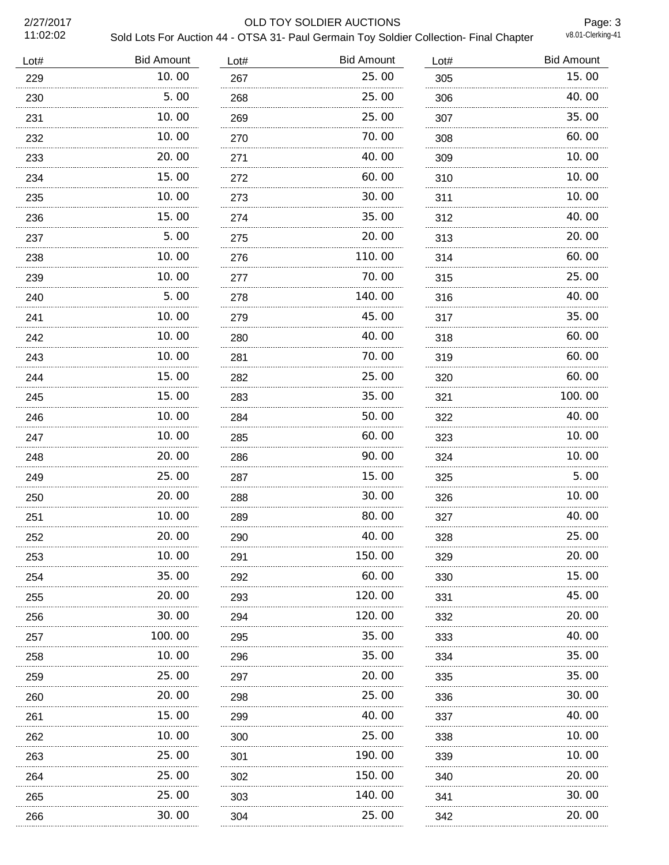11:02:02

## 2/27/2017 OLD TOY SOLDIER AUCTIONS

Page: 3<br>v8.01-Clerking-41 Sold Lots For Auction 44 - OTSA 31- Paul Germain Toy Soldier Collection- Final Chapter

| Lot# | <b>Bid Amount</b> | Lot#     | <b>Bid Amount</b> | Lot# | <b>Bid Amount</b> |
|------|-------------------|----------|-------------------|------|-------------------|
| 229  | 10.00             | 267      | 25.00             | 305  | 15.00             |
| 230  | 5.00              | 268      | 25.00             | 306  | 40.00             |
| 231  | 10.00             | 269      | 25.00             | 307  | 35.00             |
| 232  | 10.00             | 270      | 70.00             | 308  | 60.00             |
| 233  | 20.00             | 271      | 40.00             | 309  | 10.00             |
| 234  | 15.00             | 272      | 60.00             | 310  | 10.00             |
| 235  | 10.00<br>.        | 273      | 30.00             | 311  | 10.00             |
| 236  | 15.00             | 274      | 35.00             | 312  | 40.00             |
| 237  | 5.00              | 275      | 20.00             | 313  | 20.00             |
| 238  | 10.00             | 276      | 110.00            | 314  | 60.00             |
| 239  | 10.00             | 277      | 70.00             | 315  | 25.00             |
| 240  | 5.00              | 278      | 140.00            | 316  | 40.00             |
| 241  | 10.00             | 279      | 45.00             | 317  | 35.00             |
| 242  | 10.00             | 280      | 40.00             | 318  | 60.00             |
| 243  | 10.00             | 281      | 70.00             | 319  | 60.00             |
| 244  | 15.00             | 282      | 25.00             | 320  | 60.00             |
| 245  | 15.00             | 283      | 35.00             | 321  | 100.00            |
| 246  | 10.00             | 284      | 50.00             | 322  | 40.00             |
| 247  | 10.00             | 285      | 60.00             | 323  | 10.00             |
| 248  | 20.00             | 286<br>. | 90.00             | 324  | 10.00             |
| 249  | 25.00             | 287      | 15.00             | 325  | 5.00              |
| 250  | 20.00             | 288      | 30.00             | 326  | 10.00             |
| 251  | 10.00             | 289      | 80.00             | 327  | 40.00             |
| 252  | 20.00             | 290      | 40.00             | 328  | 25.00             |
| 253  | 10.00             | 291      | 150.00            | 329  | 20.00             |
| 254  | 35.00             | 292      | 60.00             | 330  | 15.00             |
| 255  | 20.00             | 293      | 120.00            | 331  | 45.00             |
| 256  | 30.00             | 294      | 120.00            | 332  | 20.00             |
| 257  | 100.00            | 295      | 35.00             | 333  | 40.00             |
| 258  | 10.00             | 296      | 35.00             | 334  | 35.00             |
| 259  | 25.00             | 297      | 20.00             | 335  | 35.00             |
| 260  | 20.00             | 298      | 25.00             | 336  | 30.00             |
| 261  | 15.00             | 299      | 40. 00            | 337  | 40.00             |
| 262  | 10.00             | 300      | 25.00             | 338  | 10.00             |
| 263  | 25.00             | 301      | 190.00            | 339  | 10.00             |
| 264  | 25.00             | 302      | 150.00            | 340  | 20.00             |
| 265  | 25.00             | 303      | 140.00            | 341  | 30.00             |
| 266  | 30.00             | 304      | 25.00             | 342  | 20.00             |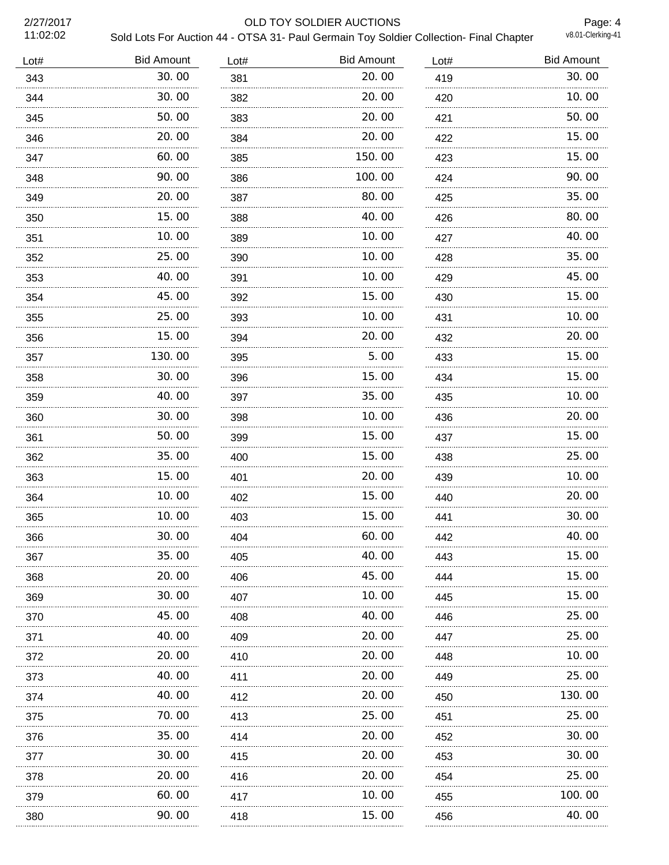40.00 40.00 70.00

 35.00 30.00 20.00 60.00 90.00

| 2/27/2017<br>11:02:02<br>Lot# | <b>Bid Amount</b> | Lot# | OLD TOY SOLDIER AUCTIONS<br>Sold Lots For Auction 44 - OTSA 31- Paul Germain Toy Soldier Collection- Final Chapter<br><b>Bid Amount</b> | Lot# | Page: 4<br>v8.01-Clerking-41<br><b>Bid Amount</b> |
|-------------------------------|-------------------|------|-----------------------------------------------------------------------------------------------------------------------------------------|------|---------------------------------------------------|
| 343                           | 30.00             | 381  | 20.00                                                                                                                                   | 419  | 30.00                                             |
| 344                           | .<br>30.00        | 382  | 20.00                                                                                                                                   | 420  | 10.00                                             |
| 345                           | 50.00             | 383  | 20.00                                                                                                                                   | 421  | 50.00                                             |
| 346                           | 20.00             | 384  | 20.00                                                                                                                                   | 422  | 15.00                                             |
| 347                           | 60.00             | 385  | 150.00                                                                                                                                  | 423  | 15.00                                             |
| 348                           | 90.00             | 386  | 100. 00                                                                                                                                 | 424  | 90.00                                             |
| 349                           | 20.00             | 387  | 80.00                                                                                                                                   | 425  | 35.00                                             |
| 350                           | 15.00             | 388  | 40.00                                                                                                                                   | 426  | 80.00                                             |
| 351                           | 10.00             | 389  | 10.00                                                                                                                                   | 427  | 40.00                                             |
| 352                           | 25.00             | 390  | 10.00                                                                                                                                   | 428  | 35.00                                             |
| 353                           | 40.00             | 391  | 10.00                                                                                                                                   | 429  | 45.00                                             |
| 354                           | 45.00             | 392  | 15.00                                                                                                                                   | 430  | 15.00                                             |
| 355                           | 25.00             | 393  | 10.00                                                                                                                                   | 431  | 10.00                                             |
| 356                           | 15.00             | 394  | 20.00                                                                                                                                   | 432  | 20.00                                             |
| 357                           | 130.00            | 395  | 5.00                                                                                                                                    | 433  | 15.00                                             |
| 358                           | 30.00             | 396  | 15.00                                                                                                                                   | 434  | 15.00                                             |
| 359                           | 40.00             | 397  | 35.00                                                                                                                                   | 435  | 10.00                                             |
| 360                           | 30.00             | 398  | 10.00                                                                                                                                   | 436  | 20.00                                             |
| 361                           | 50.00             | 399  | 15.00                                                                                                                                   | 437  | 15.00                                             |
| 362                           | 35.00             | 400  | 15.00                                                                                                                                   | 438  | 25.00                                             |
| 363                           | 15.00<br>.        | 401  | 20.00<br>                                                                                                                               | 439  | 10.00<br>.                                        |
| 364                           | 10.00<br>.        | 402  | 15.00                                                                                                                                   | 440  | 20.00                                             |
| 365                           | 10.00<br>.        | 403  | 15.00<br>.                                                                                                                              | 441  | 30.00<br>.                                        |
| 366                           | 30.00<br>.        | 404  | 60.00                                                                                                                                   | 442  | 40. OO                                            |
| 367                           | 35.00             | 405  | 40.00                                                                                                                                   | 443  | 15.00                                             |
| 368                           | 20.00             | 406  | 45.00                                                                                                                                   | 444  | 15.00                                             |
| 369                           | 30.00             | 407  | 10.00                                                                                                                                   | 445  | 15.00                                             |
| 370                           | 45.00             | 408  | 40.00                                                                                                                                   | 446  | 25.00                                             |
| 371                           | 40.00             | 409  | 20.00                                                                                                                                   | 447  | 25.00                                             |
| 372                           | 20.00             | 410  | 20.00                                                                                                                                   | 448  | 10.00                                             |

 20.00 20.00 25.00

 25.00 130.00 25.00

 30.00 30.00 25.00 100.00 40.00

 20.00 20.00 20.00 10.00 15.00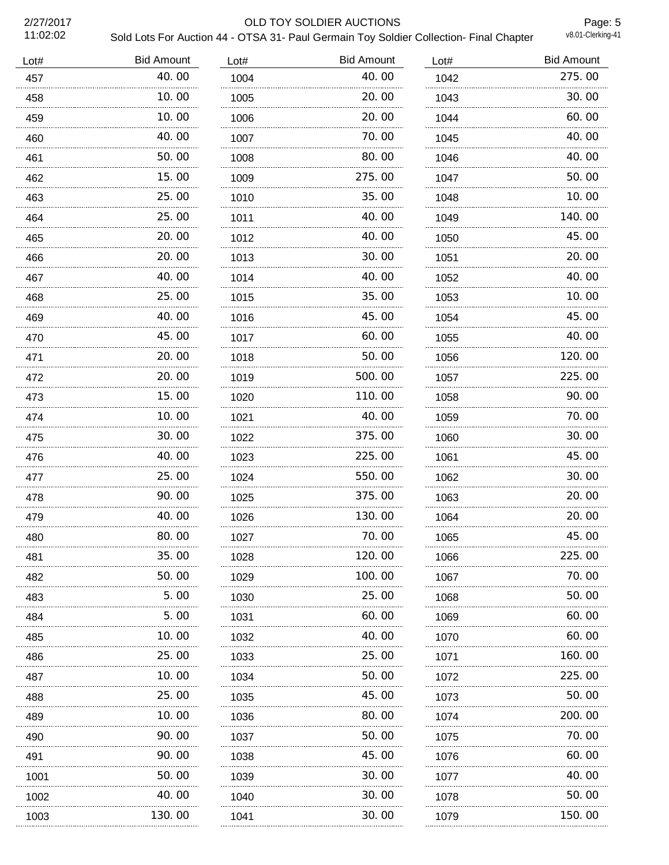| 2/27/2017<br>11:02:02 |                   |      | OLD TOY SOLDIER AUCTIONS<br>Sold Lots For Auction 44 - OTSA 31- Paul Germain Toy Soldier Collection- Final Chapter |           | Page: 5<br>v8.01-Clerking-41 |
|-----------------------|-------------------|------|--------------------------------------------------------------------------------------------------------------------|-----------|------------------------------|
| Lot#                  | <b>Bid Amount</b> | Lot# | <b>Bid Amount</b>                                                                                                  | Lot#      | <b>Bid Amount</b>            |
| 457                   | 40.00             | 1004 | 40.00                                                                                                              | 1042      | 275.00                       |
| 458                   | 10.00             | 1005 | 20.00                                                                                                              | 1043      | 30.00                        |
| 459                   | 10.00             | 1006 | 20.00                                                                                                              | 1044      | 60.00                        |
| 460                   | 40.00             | 1007 | 70.00                                                                                                              | 1045      | 40.00                        |
| 461                   | 50.00             | 1008 | 80.00                                                                                                              | 1046      | 40.00                        |
| 462                   | 15.00             | 1009 | 275.00                                                                                                             | 1047      | 50.00                        |
| 463                   | 25.00             | 1010 | 35.00                                                                                                              | 1048      | 10.00                        |
| 464                   | 25.00             | 1011 | 40.00<br>.                                                                                                         | 1049<br>. | 140.00                       |
| 465                   | 20.00             | 1012 | 40.00                                                                                                              | 1050      | 45.00                        |
| 466                   | 20.00             | 1013 | 30.00                                                                                                              | 1051      | 20.00                        |
| 467                   | 40.00             | 1014 | 40.00                                                                                                              | 1052      | 40.00                        |
| 468                   | 25.00             | 1015 | 35.00                                                                                                              | 1053      | 10.00                        |
| 469                   | 40.00             | 1016 | 45.00                                                                                                              | 1054      | 45.00                        |
| 470                   | 45.00             | 1017 | 60.00                                                                                                              | 1055      | 40.00                        |
| 471                   | 20.00             | 1018 | 50.00                                                                                                              | 1056      | 120.00                       |
| 472                   | 20.00             | 1019 | 500,00                                                                                                             | 1057      | 225.00                       |
| 473                   | 15.00             | 1020 | 110.00                                                                                                             | 1058      | 90.00                        |
| 474                   | 10.00             | 1021 | 40.00                                                                                                              | 1059      | 70.00                        |
| 475                   | 30.00             | 1022 | 375.00                                                                                                             | 1060      | 30.00                        |
| 476                   | 40.00             | 1023 | 225.00                                                                                                             | 1061      | 45.00                        |
| 477                   | 25.00             | 1024 | 550.00                                                                                                             | 1062      | 30.00                        |
| 478                   | 90.00             | 1025 | 375.00                                                                                                             | 1063      | 20.00                        |
| 479                   | 40.00             | 1026 | 130.00                                                                                                             | 1064      | 20.00                        |
| 480                   | 80.00             | 1027 | 70.00                                                                                                              | 1065      | 45.00                        |
| 481                   | 35.00             | 1028 | 120.00                                                                                                             | 1066      | 225.00                       |
| 482                   | 50.00             | 1029 | 100.00                                                                                                             | 1067      | 70.00                        |
| 483                   | 5.00              | 1030 | 25.00                                                                                                              | 1068      | 50.00                        |
| 484                   | 5.00              | 1031 | 60.00                                                                                                              | 1069      | 60.00                        |
| 485                   | 10.00             | 1032 | 40.00                                                                                                              | 1070      | 60.00                        |
| 486                   | 25.00             | 1033 | 25.00                                                                                                              | 1071      | 160.00                       |
| 487                   | 10.00             | 1034 | 50.00                                                                                                              | 1072      | 225.00                       |
| 488                   | 25.00             | 1035 | 45.00                                                                                                              | 1073      | 50.00                        |
| 489                   | 10.00             | 1036 | 80.00                                                                                                              | 1074      | 200.00                       |
| 490                   | 90.00<br>.        | 1037 | 50.00                                                                                                              | 1075      | 70.00                        |
| 491                   | 90.00             | 1038 | 45.00                                                                                                              | 1076      | 60.00                        |

 30.00 1040 30.00 30.00

 40.00 50.00 150.00

1001 50.00 40.00 130.00